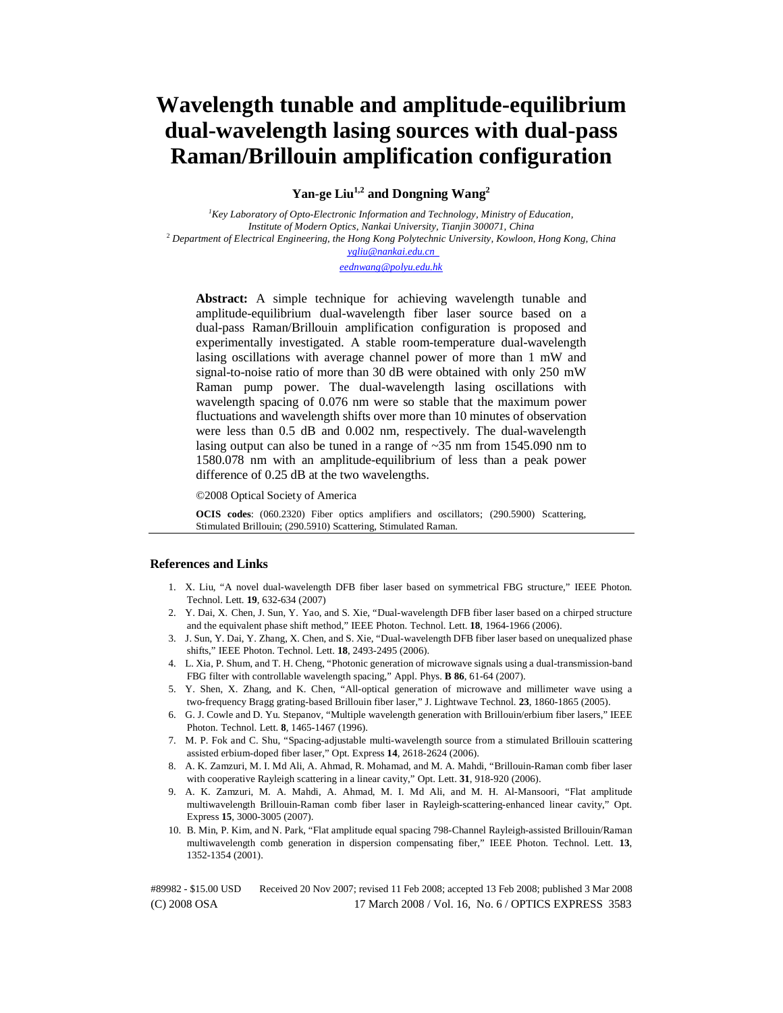# **Wavelength tunable and amplitude-equilibrium dual-wavelength lasing sources with dual-pass Raman/Brillouin amplification configuration**

Yan-ge Liu<sup>1,2</sup> and Dongning Wang<sup>2</sup>

*1 Key Laboratory of Opto-Electronic Information and Technology, Ministry of Education, Institute of Modern Optics, Nankai University, Tianjin 300071, China* <sup>2</sup> *Department of Electrical Engineering, the Hong Kong Polytechnic University, Kowloon, Hong Kong, China ygliu@nankai.edu.cn*

*eednwang@polyu.edu.hk*

**Abstract:** A simple technique for achieving wavelength tunable and amplitude-equilibrium dual-wavelength fiber laser source based on a dual-pass Raman/Brillouin amplification configuration is proposed and experimentally investigated. A stable room-temperature dual-wavelength lasing oscillations with average channel power of more than 1 mW and signal-to-noise ratio of more than 30 dB were obtained with only 250 mW Raman pump power. The dual-wavelength lasing oscillations with wavelength spacing of 0.076 nm were so stable that the maximum power fluctuations and wavelength shifts over more than 10 minutes of observation were less than 0.5 dB and 0.002 nm, respectively. The dual-wavelength lasing output can also be tuned in a range of ~35 nm from 1545.090 nm to 1580.078 nm with an amplitude-equilibrium of less than a peak power difference of 0.25 dB at the two wavelengths.

©2008 Optical Society of America

**OCIS codes**: (060.2320) Fiber optics amplifiers and oscillators; (290.5900) Scattering, Stimulated Brillouin; (290.5910) Scattering, Stimulated Raman.

# **References and Links**

- 1. X. Liu, "A novel dual-wavelength DFB fiber laser based on symmetrical FBG structure," IEEE Photon. Technol. Lett. **19**, 632-634 (2007)
- 2. Y. Dai, X. Chen, J. Sun, Y. Yao, and S. Xie, "Dual-wavelength DFB fiber laser based on a chirped structure and the equivalent phase shift method," IEEE Photon. Technol. Lett. **18**, 1964-1966 (2006).
- 3. J. Sun, Y. Dai, Y. Zhang, X. Chen, and S. Xie, "Dual-wavelength DFB fiber laser based on unequalized phase shifts," IEEE Photon. Technol. Lett. **18**, 2493-2495 (2006).
- 4. L. Xia, P. Shum, and T. H. Cheng, "Photonic generation of microwave signals using a dual-transmission-band FBG filter with controllable wavelength spacing," Appl. Phys. **B 86**, 61-64 (2007).
- 5. Y. Shen, X. Zhang, and K. Chen, "All-optical generation of microwave and millimeter wave using a two-frequency Bragg grating-based Brillouin fiber laser," J. Lightwave Technol. **23**, 1860-1865 (2005).
- 6. G. J. Cowle and D. Yu. Stepanov, "Multiple wavelength generation with Brillouin/erbium fiber lasers," IEEE Photon. Technol. Lett. **8**, 1465-1467 (1996).
- 7. M. P. Fok and C. Shu, "Spacing-adjustable multi-wavelength source from a stimulated Brillouin scattering assisted erbium-doped fiber laser," Opt. Express **14**, 2618-2624 (2006).
- 8. A. K. Zamzuri, M. I. Md Ali, A. Ahmad, R. Mohamad, and M. A. Mahdi, "Brillouin-Raman comb fiber laser with cooperative Rayleigh scattering in a linear cavity," Opt. Lett. **31**, 918-920 (2006).
- 9. A. K. Zamzuri, M. A. Mahdi, A. Ahmad, M. I. Md Ali, and M. H. Al-Mansoori, "Flat amplitude multiwavelength Brillouin-Raman comb fiber laser in Rayleigh-scattering-enhanced linear cavity," Opt. Express **15**, 3000-3005 (2007).
- 10. B. Min, P. Kim, and N. Park, "Flat amplitude equal spacing 798-Channel Rayleigh-assisted Brillouin/Raman multiwavelength comb generation in dispersion compensating fiber," IEEE Photon. Technol. Lett. **13**, 1352-1354 (2001).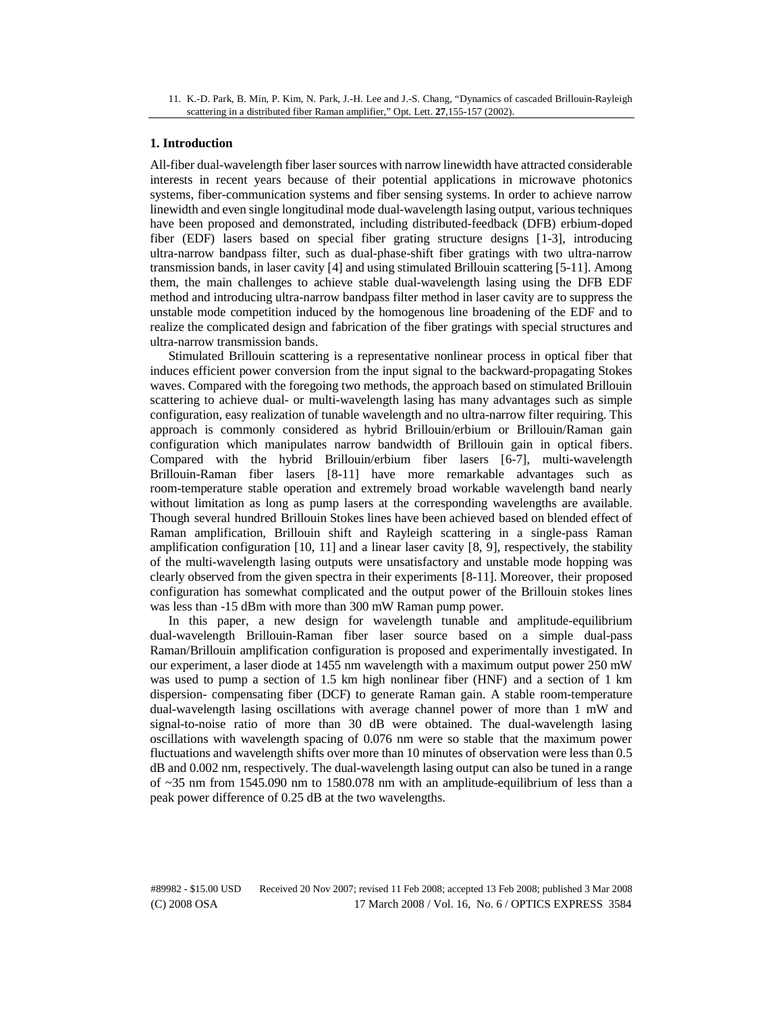### **1. Introduction**

All-fiber dual-wavelength fiber laser sources with narrow linewidth have attracted considerable interests in recent years because of their potential applications in microwave photonics systems, fiber-communication systems and fiber sensing systems. In order to achieve narrow linewidth and even single longitudinal mode dual-wavelength lasing output, various techniques have been proposed and demonstrated, including distributed-feedback (DFB) erbium-doped fiber (EDF) lasers based on special fiber grating structure designs [1-3], introducing ultra-narrow bandpass filter, such as dual-phase-shift fiber gratings with two ultra-narrow transmission bands, in laser cavity [4] and using stimulated Brillouin scattering [5-11]. Among them, the main challenges to achieve stable dual-wavelength lasing using the DFB EDF method and introducing ultra-narrow bandpass filter method in laser cavity are to suppress the unstable mode competition induced by the homogenous line broadening of the EDF and to realize the complicated design and fabrication of the fiber gratings with special structures and ultra-narrow transmission bands.

Stimulated Brillouin scattering is a representative nonlinear process in optical fiber that induces efficient power conversion from the input signal to the backward-propagating Stokes waves. Compared with the foregoing two methods, the approach based on stimulated Brillouin scattering to achieve dual- or multi-wavelength lasing has many advantages such as simple configuration, easy realization of tunable wavelength and no ultra-narrow filter requiring. This approach is commonly considered as hybrid Brillouin/erbium or Brillouin/Raman gain configuration which manipulates narrow bandwidth of Brillouin gain in optical fibers. Compared with the hybrid Brillouin/erbium fiber lasers [6-7], multi-wavelength Brillouin-Raman fiber lasers [8-11] have more remarkable advantages such as room-temperature stable operation and extremely broad workable wavelength band nearly without limitation as long as pump lasers at the corresponding wavelengths are available. Though several hundred Brillouin Stokes lines have been achieved based on blended effect of Raman amplification, Brillouin shift and Rayleigh scattering in a single-pass Raman amplification configuration [10, 11] and a linear laser cavity [8, 9], respectively, the stability of the multi-wavelength lasing outputs were unsatisfactory and unstable mode hopping was clearly observed from the given spectra in their experiments [8-11]. Moreover, their proposed configuration has somewhat complicated and the output power of the Brillouin stokes lines was less than -15 dBm with more than 300 mW Raman pump power.

In this paper, a new design for wavelength tunable and amplitude-equilibrium dual-wavelength Brillouin-Raman fiber laser source based on a simple dual-pass Raman/Brillouin amplification configuration is proposed and experimentally investigated. In our experiment, a laser diode at 1455 nm wavelength with a maximum output power 250 mW was used to pump a section of 1.5 km high nonlinear fiber (HNF) and a section of 1 km dispersion- compensating fiber (DCF) to generate Raman gain. A stable room-temperature dual-wavelength lasing oscillations with average channel power of more than 1 mW and signal-to-noise ratio of more than 30 dB were obtained. The dual-wavelength lasing oscillations with wavelength spacing of 0.076 nm were so stable that the maximum power fluctuations and wavelength shifts over more than 10 minutes of observation were less than 0.5 dB and 0.002 nm, respectively. The dual-wavelength lasing output can also be tuned in a range of ~35 nm from 1545.090 nm to 1580.078 nm with an amplitude-equilibrium of less than a peak power difference of 0.25 dB at the two wavelengths.

<sup>11.</sup> K.-D. Park, B. Min, P. Kim, N. Park, J.-H. Lee and J.-S. Chang, "Dynamics of cascaded Brillouin-Rayleigh scattering in a distributed fiber Raman amplifier," Opt. Lett. **27**,155-157 (2002).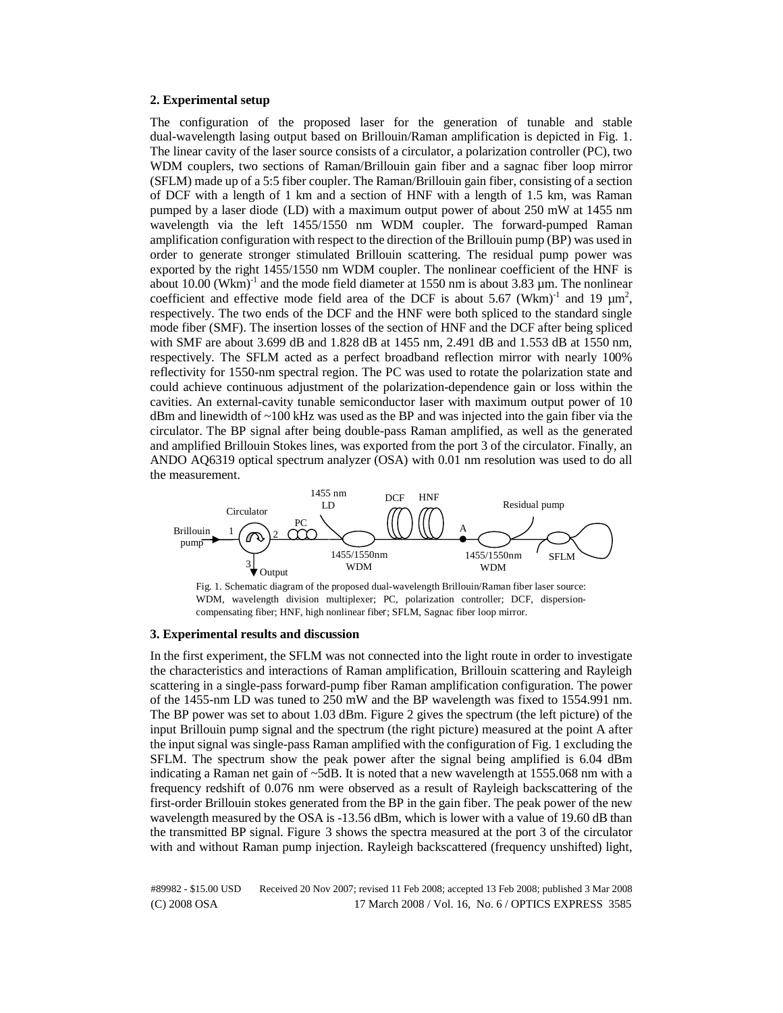# **2. Experimental setup**

The configuration of the proposed laser for the generation of tunable and stable dual-wavelength lasing output based on Brillouin/Raman amplification is depicted in Fig. 1. The linear cavity of the laser source consists of a circulator, a polarization controller (PC), two WDM couplers, two sections of Raman/Brillouin gain fiber and a sagnac fiber loop mirror (SFLM) made up of a 5:5 fiber coupler. The Raman/Brillouin gain fiber, consisting of a section of DCF with a length of 1 km and a section of HNF with a length of 1.5 km, was Raman pumped by a laser diode (LD) with a maximum output power of about 250 mW at 1455 nm wavelength via the left 1455/1550 nm WDM coupler. The forward-pumped Raman amplification configuration with respect to the direction of the Brillouin pump (BP) was used in order to generate stronger stimulated Brillouin scattering. The residual pump power was exported by the right 1455/1550 nm WDM coupler. The nonlinear coefficient of the HNF is about  $10.00$  (Wkm)<sup>-1</sup> and the mode field diameter at 1550 nm is about 3.83  $\mu$ m. The nonlinear coefficient and effective mode field area of the DCF is about 5.67 (Wkm)<sup>-1</sup> and 19  $\mu$ m<sup>2</sup>, respectively. The two ends of the DCF and the HNF were both spliced to the standard single mode fiber (SMF). The insertion losses of the section of HNF and the DCF after being spliced with SMF are about 3.699 dB and 1.828 dB at 1455 nm, 2.491 dB and 1.553 dB at 1550 nm, respectively. The SFLM acted as a perfect broadband reflection mirror with nearly 100% reflectivity for 1550-nm spectral region. The PC was used to rotate the polarization state and could achieve continuous adjustment of the polarization-dependence gain or loss within the cavities. An external-cavity tunable semiconductor laser with maximum output power of 10 dBm and linewidth of  $\sim$ 100 kHz was used as the BP and was injected into the gain fiber via the circulator. The BP signal after being double-pass Raman amplified, as well as the generated and amplified Brillouin Stokes lines, was exported from the port 3 of the circulator. Finally, an ANDO AQ6319 optical spectrum analyzer (OSA) with 0.01 nm resolution was used to do all the measurement.



Fig. 1. Schematic diagram of the proposed dual-wavelength Brillouin/Raman fiber laser source: WDM, wavelength division multiplexer; PC, polarization controller; DCF, dispersioncompensating fiber; HNF, high nonlinear fiber; SFLM, Sagnac fiber loop mirror.

## **3. Experimental results and discussion**

In the first experiment, the SFLM was not connected into the light route in order to investigate the characteristics and interactions of Raman amplification, Brillouin scattering and Rayleigh scattering in a single-pass forward-pump fiber Raman amplification configuration. The power of the 1455-nm LD was tuned to 250 mW and the BP wavelength was fixed to 1554.991 nm. The BP power was set to about 1.03 dBm. Figure 2 gives the spectrum (the left picture) of the input Brillouin pump signal and the spectrum (the right picture) measured at the point A after the input signal was single-pass Raman amplified with the configuration of Fig. 1 excluding the SFLM. The spectrum show the peak power after the signal being amplified is 6.04 dBm indicating a Raman net gain of ~5dB. It is noted that a new wavelength at 1555.068 nm with a frequency redshift of 0.076 nm were observed as a result of Rayleigh backscattering of the first-order Brillouin stokes generated from the BP in the gain fiber. The peak power of the new wavelength measured by the OSA is -13.56 dBm, which is lower with a value of 19.60 dB than the transmitted BP signal. Figure 3 shows the spectra measured at the port 3 of the circulator with and without Raman pump injection. Rayleigh backscattered (frequency unshifted) light,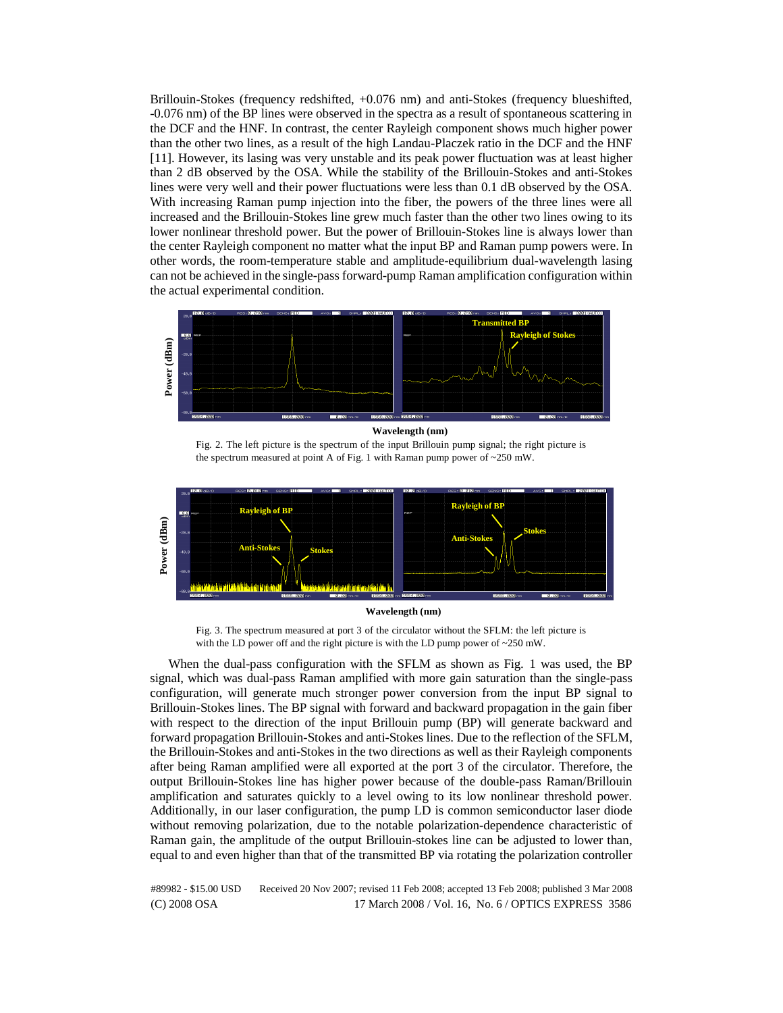Brillouin-Stokes (frequency redshifted, +0.076 nm) and anti-Stokes (frequency blueshifted, -0.076 nm) of the BP lines were observed in the spectra as a result of spontaneous scattering in the DCF and the HNF. In contrast, the center Rayleigh component shows much higher power than the other two lines, as a result of the high Landau-Placzek ratio in the DCF and the HNF [11]. However, its lasing was very unstable and its peak power fluctuation was at least higher than 2 dB observed by the OSA. While the stability of the Brillouin-Stokes and anti-Stokes lines were very well and their power fluctuations were less than 0.1 dB observed by the OSA. With increasing Raman pump injection into the fiber, the powers of the three lines were all increased and the Brillouin-Stokes line grew much faster than the other two lines owing to its lower nonlinear threshold power. But the power of Brillouin-Stokes line is always lower than the center Rayleigh component no matter what the input BP and Raman pump powers were. In other words, the room-temperature stable and amplitude-equilibrium dual-wavelength lasing can not be achieved in the single-pass forward-pump Raman amplification configuration within the actual experimental condition.



Fig. 2. The left picture is the spectrum of the input Brillouin pump signal; the right picture is the spectrum measured at point A of Fig. 1 with Raman pump power of  $\sim$  250 mW.



#### **Wavelength (nm)**

Fig. 3. The spectrum measured at port 3 of the circulator without the SFLM: the left picture is with the LD power off and the right picture is with the LD pump power of ~250 mW.

When the dual-pass configuration with the SFLM as shown as Fig. 1 was used, the BP signal, which was dual-pass Raman amplified with more gain saturation than the single-pass configuration, will generate much stronger power conversion from the input BP signal to Brillouin-Stokes lines. The BP signal with forward and backward propagation in the gain fiber with respect to the direction of the input Brillouin pump (BP) will generate backward and forward propagation Brillouin-Stokes and anti-Stokes lines. Due to the reflection of the SFLM, the Brillouin-Stokes and anti-Stokes in the two directions as well as their Rayleigh components after being Raman amplified were all exported at the port 3 of the circulator. Therefore, the output Brillouin-Stokes line has higher power because of the double-pass Raman/Brillouin amplification and saturates quickly to a level owing to its low nonlinear threshold power. Additionally, in our laser configuration, the pump LD is common semiconductor laser diode without removing polarization, due to the notable polarization-dependence characteristic of Raman gain, the amplitude of the output Brillouin-stokes line can be adjusted to lower than, equal to and even higher than that of the transmitted BP via rotating the polarization controller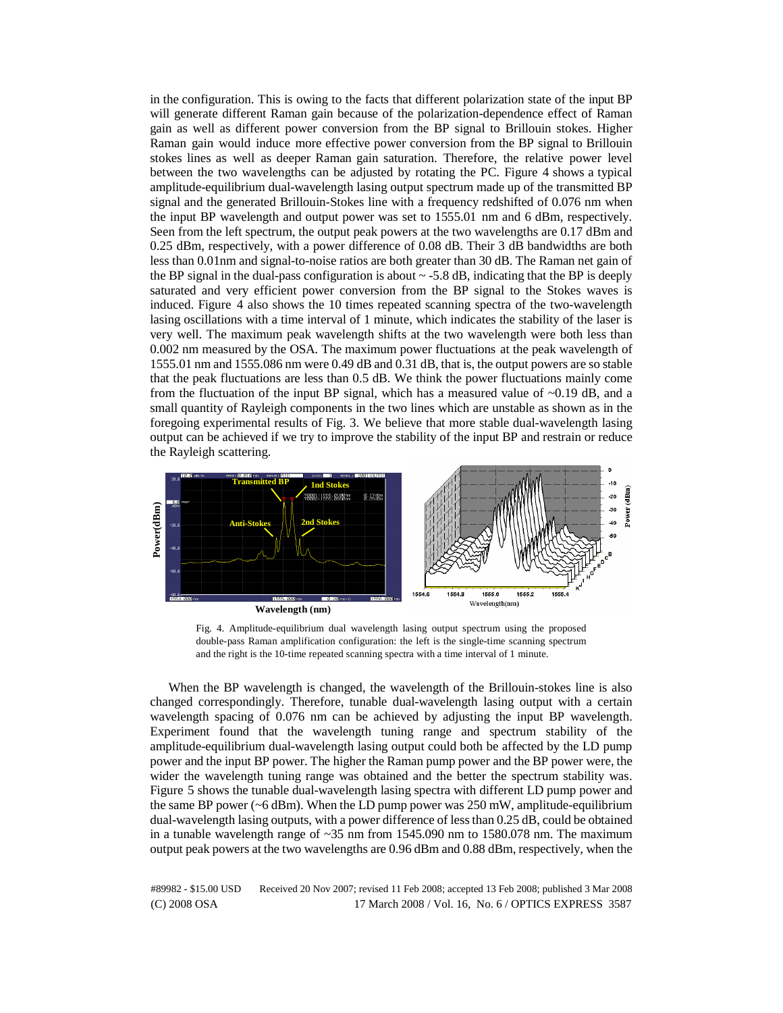in the configuration. This is owing to the facts that different polarization state of the input BP will generate different Raman gain because of the polarization-dependence effect of Raman gain as well as different power conversion from the BP signal to Brillouin stokes. Higher Raman gain would induce more effective power conversion from the BP signal to Brillouin stokes lines as well as deeper Raman gain saturation. Therefore, the relative power level between the two wavelengths can be adjusted by rotating the PC. Figure 4 shows a typical amplitude-equilibrium dual-wavelength lasing output spectrum made up of the transmitted BP signal and the generated Brillouin-Stokes line with a frequency redshifted of 0.076 nm when the input BP wavelength and output power was set to 1555.01 nm and 6 dBm, respectively. Seen from the left spectrum, the output peak powers at the two wavelengths are 0.17 dBm and 0.25 dBm, respectively, with a power difference of 0.08 dB. Their 3 dB bandwidths are both less than 0.01nm and signal-to-noise ratios are both greater than 30 dB. The Raman net gain of the BP signal in the dual-pass configuration is about  $\sim$  -5.8 dB, indicating that the BP is deeply saturated and very efficient power conversion from the BP signal to the Stokes waves is induced. Figure 4 also shows the 10 times repeated scanning spectra of the two-wavelength lasing oscillations with a time interval of 1 minute, which indicates the stability of the laser is very well. The maximum peak wavelength shifts at the two wavelength were both less than 0.002 nm measured by the OSA. The maximum power fluctuations at the peak wavelength of 1555.01 nm and 1555.086 nm were 0.49 dB and 0.31 dB, that is, the output powers are so stable that the peak fluctuations are less than 0.5 dB. We think the power fluctuations mainly come from the fluctuation of the input BP signal, which has a measured value of  $\sim 0.19$  dB, and a small quantity of Rayleigh components in the two lines which are unstable as shown as in the foregoing experimental results of Fig. 3. We believe that more stable dual-wavelength lasing output can be achieved if we try to improve the stability of the input BP and restrain or reduce the Rayleigh scattering.



Fig. 4. Amplitude-equilibrium dual wavelength lasing output spectrum using the proposed double-pass Raman amplification configuration: the left is the single-time scanning spectrum and the right is the 10-time repeated scanning spectra with a time interval of 1 minute.

When the BP wavelength is changed, the wavelength of the Brillouin-stokes line is also changed correspondingly. Therefore, tunable dual-wavelength lasing output with a certain wavelength spacing of 0.076 nm can be achieved by adjusting the input BP wavelength. Experiment found that the wavelength tuning range and spectrum stability of the amplitude-equilibrium dual-wavelength lasing output could both be affected by the LD pump power and the input BP power. The higher the Raman pump power and the BP power were, the wider the wavelength tuning range was obtained and the better the spectrum stability was. Figure 5 shows the tunable dual-wavelength lasing spectra with different LD pump power and the same BP power  $(6$  dBm). When the LD pump power was 250 mW, amplitude-equilibrium dual-wavelength lasing outputs, with a power difference of less than 0.25 dB, could be obtained in a tunable wavelength range of  $\sim$ 35 nm from 1545.090 nm to 1580.078 nm. The maximum output peak powers at the two wavelengths are 0.96 dBm and 0.88 dBm, respectively, when the